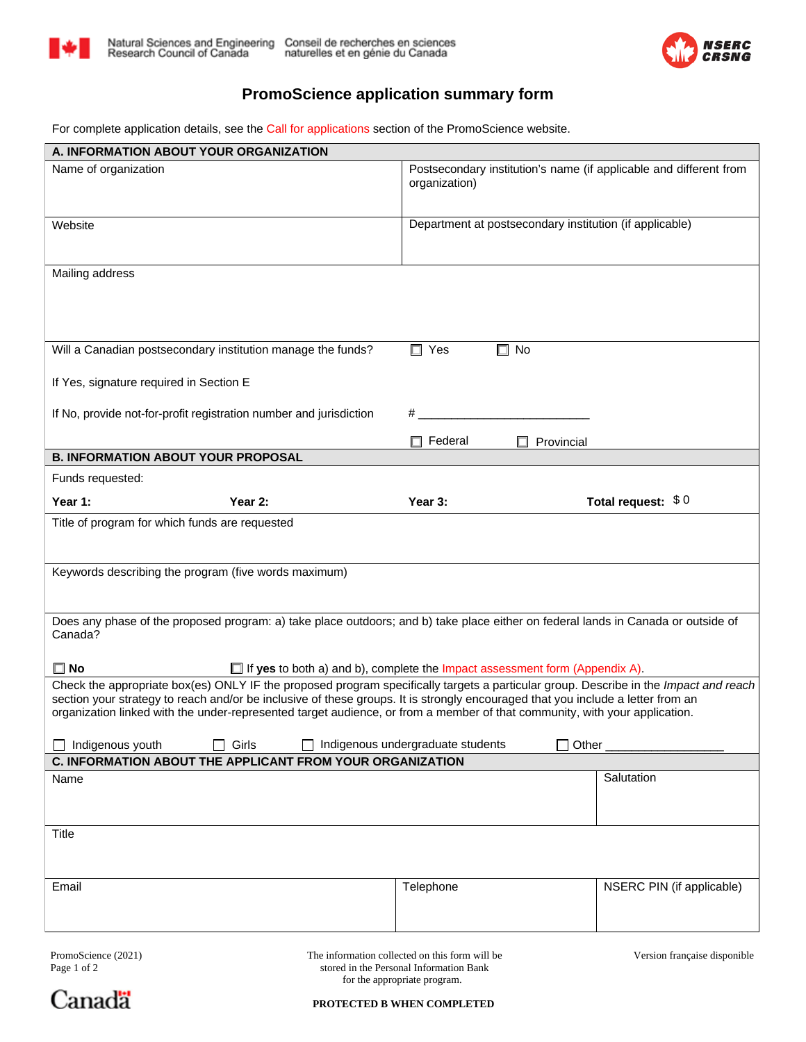



## PromoScience application summary form

For complete application details, see the Call for applications section of the PromoScience website.

| A. INFORMATION ABOUT YOUR ORGANIZATION                                                                                                                                                                                                                                                                                                                                                                                                                                                |                                                                                     |                           |  |
|---------------------------------------------------------------------------------------------------------------------------------------------------------------------------------------------------------------------------------------------------------------------------------------------------------------------------------------------------------------------------------------------------------------------------------------------------------------------------------------|-------------------------------------------------------------------------------------|---------------------------|--|
| Name of organization                                                                                                                                                                                                                                                                                                                                                                                                                                                                  | Postsecondary institution's name (if applicable and different from<br>organization) |                           |  |
| Website                                                                                                                                                                                                                                                                                                                                                                                                                                                                               | Department at postsecondary institution (if applicable)                             |                           |  |
| Mailing address                                                                                                                                                                                                                                                                                                                                                                                                                                                                       |                                                                                     |                           |  |
|                                                                                                                                                                                                                                                                                                                                                                                                                                                                                       |                                                                                     |                           |  |
| Will a Canadian postsecondary institution manage the funds?                                                                                                                                                                                                                                                                                                                                                                                                                           | $\Box$ Yes<br>$\Box$ No                                                             |                           |  |
| If Yes, signature required in Section E                                                                                                                                                                                                                                                                                                                                                                                                                                               |                                                                                     |                           |  |
| If No, provide not-for-profit registration number and jurisdiction                                                                                                                                                                                                                                                                                                                                                                                                                    | #                                                                                   |                           |  |
|                                                                                                                                                                                                                                                                                                                                                                                                                                                                                       | Federal<br>Provincial                                                               |                           |  |
| <b>B. INFORMATION ABOUT YOUR PROPOSAL</b>                                                                                                                                                                                                                                                                                                                                                                                                                                             |                                                                                     |                           |  |
| Funds requested:                                                                                                                                                                                                                                                                                                                                                                                                                                                                      |                                                                                     |                           |  |
| Year 1:<br>Year 2:                                                                                                                                                                                                                                                                                                                                                                                                                                                                    | Year 3:                                                                             | Total request: $$0$       |  |
| Title of program for which funds are requested                                                                                                                                                                                                                                                                                                                                                                                                                                        |                                                                                     |                           |  |
| Keywords describing the program (five words maximum)                                                                                                                                                                                                                                                                                                                                                                                                                                  |                                                                                     |                           |  |
| Does any phase of the proposed program: a) take place outdoors; and b) take place either on federal lands in Canada or outside of<br>Canada?                                                                                                                                                                                                                                                                                                                                          |                                                                                     |                           |  |
| $\square$ No<br>$\Box$ If yes to both a) and b), complete the Impact assessment form (Appendix A).                                                                                                                                                                                                                                                                                                                                                                                    |                                                                                     |                           |  |
| Check the appropriate box(es) ONLY IF the proposed program specifically targets a particular group. Describe in the Impact and reach<br>section your strategy to reach and/or be inclusive of these groups. It is strongly encouraged that you include a letter from an<br>organization linked with the under-represented target audience, or from a member of that community, with your application.<br>Girls<br>$\Box$ Indigenous undergraduate students<br>$\Box$ Indigenous youth |                                                                                     |                           |  |
| C. INFORMATION ABOUT THE APPLICANT FROM YOUR ORGANIZATION                                                                                                                                                                                                                                                                                                                                                                                                                             |                                                                                     |                           |  |
| Name                                                                                                                                                                                                                                                                                                                                                                                                                                                                                  |                                                                                     | Salutation                |  |
| Title                                                                                                                                                                                                                                                                                                                                                                                                                                                                                 |                                                                                     |                           |  |
|                                                                                                                                                                                                                                                                                                                                                                                                                                                                                       |                                                                                     |                           |  |
| Email                                                                                                                                                                                                                                                                                                                                                                                                                                                                                 | Telephone                                                                           | NSERC PIN (if applicable) |  |
|                                                                                                                                                                                                                                                                                                                                                                                                                                                                                       |                                                                                     |                           |  |

Canadä

The information collected on this form will be stored in the Personal Information Bank for the appropriate program.

Version française disponible